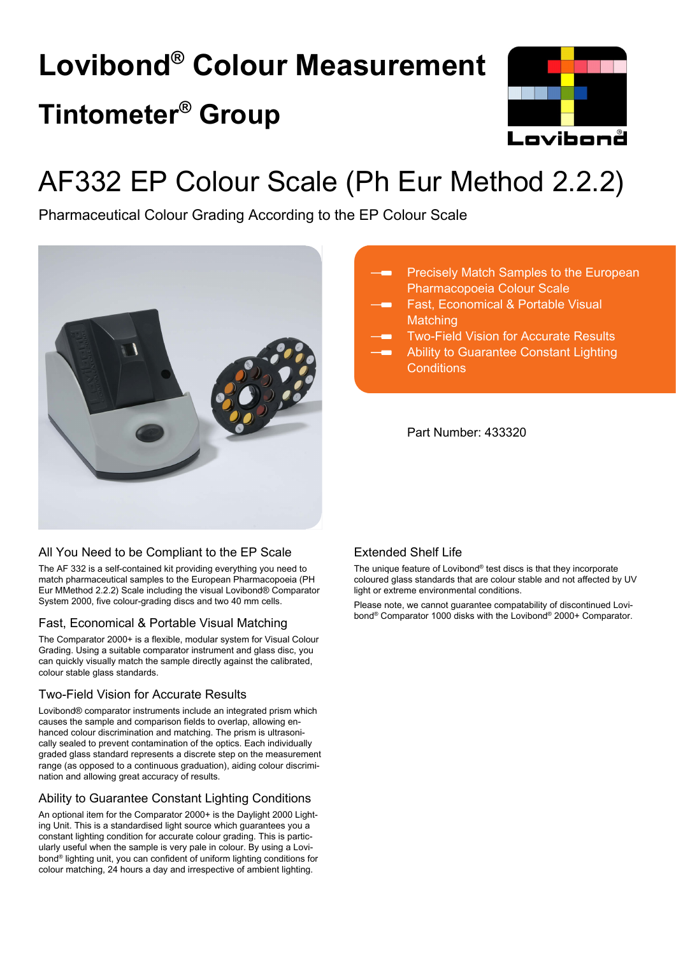# **Lovibond® Colour Measurement Tintometer® Group**



# AF332 EP Colour Scale (Ph Eur Method 2.2.2)

Pharmaceutical Colour Grading According to the EP Colour Scale



# All You Need to be Compliant to the EP Scale

The AF 332 is a self-contained kit providing everything you need to match pharmaceutical samples to the European Pharmacopoeia (PH Eur MMethod 2.2.2) Scale including the visual Lovibond® Comparator System 2000, five colour-grading discs and two 40 mm cells.

## Fast, Economical & Portable Visual Matching

The Comparator 2000+ is a flexible, modular system for Visual Colour Grading. Using a suitable comparator instrument and glass disc, you can quickly visually match the sample directly against the calibrated, colour stable glass standards.

# Two-Field Vision for Accurate Results

Lovibond® comparator instruments include an integrated prism which causes the sample and comparison fields to overlap, allowing enhanced colour discrimination and matching. The prism is ultrasonically sealed to prevent contamination of the optics. Each individually graded glass standard represents a discrete step on the measurement range (as opposed to a continuous graduation), aiding colour discrimination and allowing great accuracy of results.

# Ability to Guarantee Constant Lighting Conditions

An optional item for the Comparator 2000+ is the Daylight 2000 Lighting Unit. This is a standardised light source which guarantees you a constant lighting condition for accurate colour grading. This is particularly useful when the sample is very pale in colour. By using a Lovibond® lighting unit, you can confident of uniform lighting conditions for colour matching, 24 hours a day and irrespective of ambient lighting.

- Precisely Match Samples to the European Pharmacopoeia Colour Scale
	- Fast, Economical & Portable Visual **Matching**
	- Two-Field Vision for Accurate Results
	- Ability to Guarantee Constant Lighting **Conditions**

Part Number: 433320

# Extended Shelf Life

The unique feature of Lovibond® test discs is that they incorporate coloured glass standards that are colour stable and not affected by UV light or extreme environmental conditions.

Please note, we cannot guarantee compatability of discontinued Lovibond® Comparator 1000 disks with the Lovibond® 2000+ Comparator.